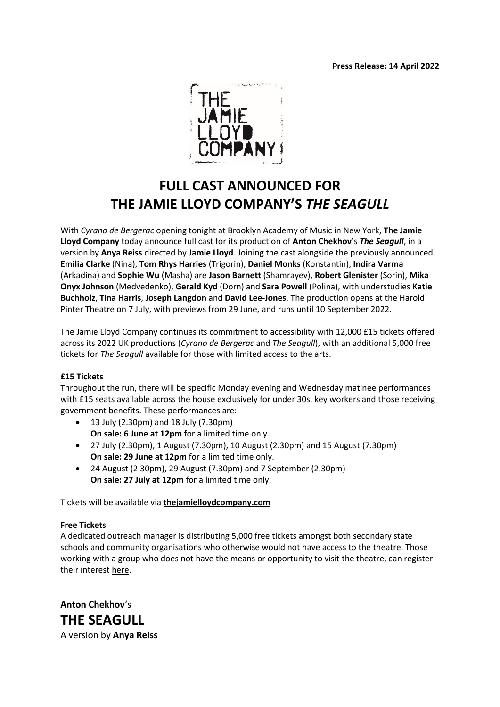

# **FULL CAST ANNOUNCED FOR THE JAMIE LLOYD COMPANY'S** *THE SEAGULL*

With *Cyrano de Bergerac* opening tonight at Brooklyn Academy of Music in New York, **The Jamie Lloyd Company** today announce full cast for its production of **Anton Chekhov**'s *The Seagull*, in a version by **Anya Reiss** directed by **Jamie Lloyd**. Joining the cast alongside the previously announced **Emilia Clarke** (Nina), **Tom Rhys Harries** (Trigorin), **Daniel Monks** (Konstantin), **Indira Varma** (Arkadina) and **Sophie Wu** (Masha) are **Jason Barnett** (Shamrayev), **Robert Glenister** (Sorin), **Mika Onyx Johnson** (Medvedenko), **Gerald Kyd** (Dorn) and **Sara Powell** (Polina), with understudies **Katie Buchholz**, **Tina Harris**, **Joseph Langdon** and **David Lee-Jones**. The production opens at the Harold Pinter Theatre on 7 July, with previews from 29 June, and runs until 10 September 2022.

The Jamie Lloyd Company continues its commitment to accessibility with 12,000 £15 tickets offered across its 2022 UK productions (*Cyrano de Bergerac* and *The Seagull*), with an additional 5,000 free tickets for *The Seagull* available for those with limited access to the arts.

# **£15 Tickets**

Throughout the run, there will be specific Monday evening and Wednesday matinee performances with £15 seats available across the house exclusively for under 30s, key workers and those receiving government benefits. These performances are:

- 13 July (2.30pm) and 18 July (7.30pm) **On sale: 6 June at 12pm** for a limited time only.
- 27 July (2.30pm), 1 August (7.30pm), 10 August (2.30pm) and 15 August (7.30pm) **On sale: 29 June at 12pm** for a limited time only.
- 24 August (2.30pm), 29 August (7.30pm) and 7 September (2.30pm) **On sale: 27 July at 12pm** for a limited time only.

Tickets will be available via **[thejamielloydcompany.com](http://www.thejamielloydcompany.com/)**

# **Free Tickets**

A dedicated outreach manager is distributing 5,000 free tickets amongst both secondary state schools and community organisations who otherwise would not have access to the theatre. Those working with a group who does not have the means or opportunity to visit the theatre, can register their interest [here.](https://bit.ly/seagullfreetickets)

**Anton Chekhov**'s **THE SEAGULL** A version by **Anya Reiss**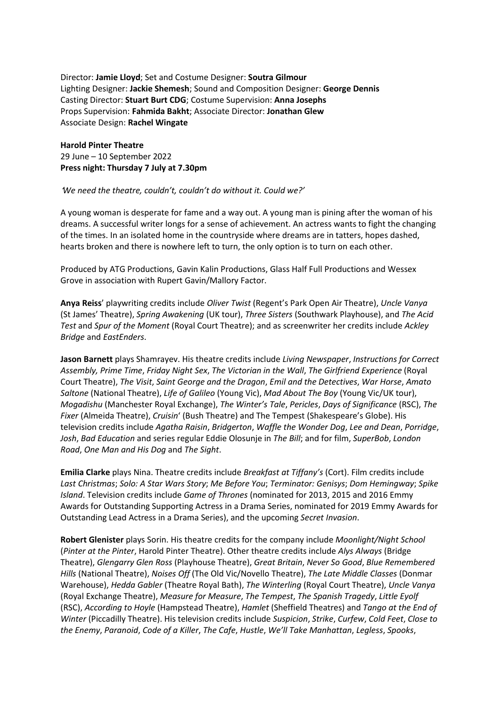Director: **Jamie Lloyd**; Set and Costume Designer: **Soutra Gilmour** Lighting Designer: **Jackie Shemesh**; Sound and Composition Designer: **George Dennis** Casting Director: **Stuart Burt CDG**; Costume Supervision: **Anna Josephs** Props Supervision: **Fahmida Bakht**; Associate Director: **Jonathan Glew** Associate Design: **Rachel Wingate**

**Harold Pinter Theatre** 29 June – 10 September 2022 **Press night: Thursday 7 July at 7.30pm**

## '*We need the theatre, couldn't, couldn't do without it. Could we?'*

A young woman is desperate for fame and a way out. A young man is pining after the woman of his dreams. A successful writer longs for a sense of achievement. An actress wants to fight the changing of the times. In an isolated home in the countryside where dreams are in tatters, hopes dashed, hearts broken and there is nowhere left to turn, the only option is to turn on each other.

Produced by ATG Productions, Gavin Kalin Productions, Glass Half Full Productions and Wessex Grove in association with Rupert Gavin/Mallory Factor.

**Anya Reiss**' playwriting credits include *Oliver Twist* (Regent's Park Open Air Theatre), *Uncle Vanya* (St James' Theatre), *Spring Awakening* (UK tour), *Three Sisters* (Southwark Playhouse), and *The Acid Test* and *Spur of the Moment* (Royal Court Theatre); and as screenwriter her credits include *Ackley Bridge* and *EastEnders*.

**Jason Barnett** plays Shamrayev. His theatre credits include *Living Newspaper*, *Instructions for Correct Assembly, Prime Time*, *Friday Night Sex*, *The Victorian in the Wall*, *The Girlfriend Experience* (Royal Court Theatre), *The Visit*, *Saint George and the Dragon*, *Emil and the Detectives*, *War Horse*, *Amato Saltone* (National Theatre), *Life of Galileo* (Young Vic), *Mad About The Boy* (Young Vic/UK tour), *Mogadishu* (Manchester Royal Exchange), *The Winter's Tale*, *Pericles*, *Days of Significance* (RSC), *The Fixer* (Almeida Theatre), *Cruisin*' (Bush Theatre) and The Tempest (Shakespeare's Globe). His television credits include *Agatha Raisin*, *Bridgerton*, *Waffle the Wonder Dog*, *Lee and Dean*, *Porridge*, *Josh*, *Bad Education* and series regular Eddie Olosunje in *The Bill*; and for film, *SuperBob*, *London Road*, *One Man and His Dog* and *The Sight*.

**Emilia Clarke** plays Nina. Theatre credits include *Breakfast at Tiffany's* (Cort). Film credits include *Last Christmas*; *Solo: A Star Wars Story*; *Me Before You*; *Terminator: Genisys*; *Dom Hemingway*; *Spike Island*. Television credits include *Game of Thrones* (nominated for 2013, 2015 and 2016 Emmy Awards for Outstanding Supporting Actress in a Drama Series, nominated for 2019 Emmy Awards for Outstanding Lead Actress in a Drama Series), and the upcoming *Secret Invasion*.

**Robert Glenister** plays Sorin. His theatre credits for the company include *Moonlight/Night School* (*Pinter at the Pinter*, Harold Pinter Theatre). Other theatre credits include *Alys Always* (Bridge Theatre), *Glengarry Glen Ross* (Playhouse Theatre), *Great Britain*, *Never So Good*, *Blue Remembered Hills* (National Theatre), *Noises Off* (The Old Vic/Novello Theatre), *The Late Middle Classes* (Donmar Warehouse), *Hedda Gabler* (Theatre Royal Bath), *The Winterling* (Royal Court Theatre), *Uncle Vanya* (Royal Exchange Theatre), *Measure for Measure*, *The Tempest*, *The Spanish Tragedy*, *Little Eyolf* (RSC), *According to Hoyle* (Hampstead Theatre), *Hamlet* (Sheffield Theatres) and *Tango at the End of Winter* (Piccadilly Theatre). His television credits include *Suspicion*, *Strike*, *Curfew*, *Cold Feet*, *Close to the Enemy*, *Paranoid*, *Code of a Killer*, *The Cafe*, *Hustle*, *We'll Take Manhattan*, *Legless*, *Spooks*,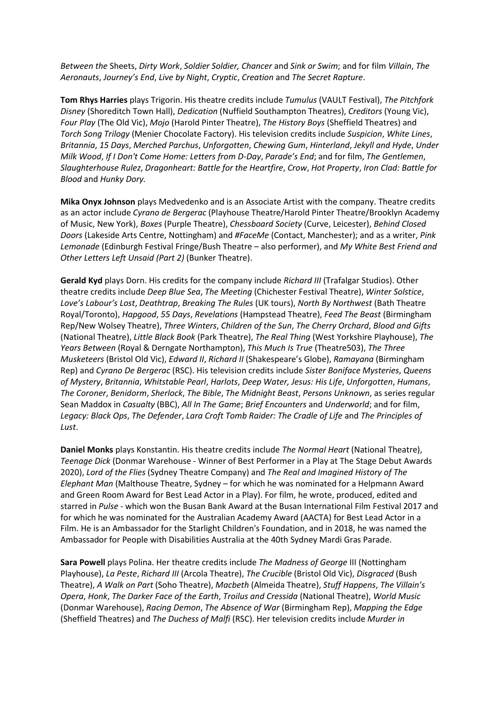*Between the* Sheets, *Dirty Work*, *Soldier Soldier, Chancer* and *Sink or Swim*; and for film *Villain*, *The Aeronauts*, *Journey's End*, *Live by Night*, *Cryptic*, *Creation* and *The Secret Rapture*.

**Tom Rhys Harries** plays Trigorin. His theatre credits include *Tumulus* (VAULT Festival), *The Pitchfork Disney* (Shoreditch Town Hall), *Dedication* (Nuffield Southampton Theatres), *Creditors* (Young Vic), *Four Play* (The Old Vic), *Mojo* (Harold Pinter Theatre), *The History Boys* (Sheffield Theatres) and *Torch Song Trilogy* (Menier Chocolate Factory). His television credits include *Suspicion*, *White Lines*, *Britannia*, *15 Days*, *Merched Parchus*, *Unforgotten*, *Chewing Gum*, *Hinterland*, *Jekyll and Hyde*, *Under Milk Wood*, *If I Don't Come Home: Letters from D-Day*, *Parade's End*; and for film, *The Gentlemen*, *Slaughterhouse Rulez*, *Dragonheart: Battle for the Heartfire*, *Crow*, *Hot Property*, *Iron Clad: Battle for Blood* and *Hunky Dory.*

**Mika Onyx Johnson** plays Medvedenko and is an Associate Artist with the company. Theatre credits as an actor include *Cyrano de Bergerac* (Playhouse Theatre/Harold Pinter Theatre/Brooklyn Academy of Music, New York), *Boxes* (Purple Theatre), *Chessboard Society* (Curve, Leicester), *Behind Closed Doors* (Lakeside Arts Centre, Nottingham) and *#FaceMe* (Contact, Manchester); and as a writer, *Pink Lemonade* (Edinburgh Festival Fringe/Bush Theatre – also performer), and *My White Best Friend and Other Letters Left Unsaid (Part 2)* (Bunker Theatre).

**Gerald Kyd** plays Dorn. His credits for the company include *Richard III* (Trafalgar Studios). Other theatre credits include *Deep Blue Sea*, *The Meeting* (Chichester Festival Theatre), *Winter Solstice*, *Love's Labour's Lost*, *Deathtrap*, *Breaking The Rules* (UK tours), *North By Northwest* (Bath Theatre Royal/Toronto), *Hapgood*, *55 Days*, *Revelations* (Hampstead Theatre), *Feed The Beast* (Birmingham Rep/New Wolsey Theatre), *Three Winters*, *Children of the Sun*, *The Cherry Orchard*, *Blood and Gifts* (National Theatre), *Little Black Book* (Park Theatre), *The Real Thing* (West Yorkshire Playhouse), *The Years Between* (Royal & Derngate Northampton), *This Much Is True* (Theatre503), *The Three Musketeers* (Bristol Old Vic), *Edward II*, *Richard II* (Shakespeare's Globe), *Ramayana* (Birmingham Rep) and *Cyrano De Bergerac* (RSC). His television credits include *Sister Boniface Mysteries*, *Queens of Mystery*, *Britannia*, *Whitstable Pearl*, *Harlots*, *Deep Water, Jesus: His Life*, *Unforgotten*, *Humans*, *The Coroner*, *Benidorm*, *Sherlock*, *The Bible*, *The Midnight Beast*, *Persons Unknown*, as series regular Sean Maddox in *Casualty* (BBC), *All In The Game*; *Brief Encounters* and *Underworld*; and for film, *Legacy: Black Ops*, *The Defender*, *Lara Croft Tomb Raider: The Cradle of Life* and *The Principles of Lust*.

**Daniel Monks** plays Konstantin. His theatre credits include *The Normal Heart* (National Theatre), *Teenage Dick* (Donmar Warehouse - Winner of Best Performer in a Play at The Stage Debut Awards 2020), *Lord of the Flies* (Sydney Theatre Company) and *The Real and Imagined History of The Elephant Man* (Malthouse Theatre, Sydney – for which he was nominated for a Helpmann Award and Green Room Award for Best Lead Actor in a Play). For film, he wrote, produced, edited and starred in *Pulse* - which won the Busan Bank Award at the Busan International Film Festival 2017 and for which he was nominated for the Australian Academy Award (AACTA) for Best Lead Actor in a Film. He is an Ambassador for the Starlight Children's Foundation, and in 2018, he was named the Ambassador for People with Disabilities Australia at the 40th Sydney Mardi Gras Parade.

**Sara Powell** plays Polina. Her theatre credits include *The Madness of George* III (Nottingham Playhouse), *La Peste*, *Richard III* (Arcola Theatre), *The Crucible* (Bristol Old Vic), *Disgraced* (Bush Theatre), *A Walk on Part* (Soho Theatre), *Macbeth* (Almeida Theatre), *Stuff Happens*, *The Villain's Opera*, *Honk*, *The Darker Face of the Earth*, *Troilus and Cressida* (National Theatre), *World Music* (Donmar Warehouse), *Racing Demon*, *The Absence of War* (Birmingham Rep), *Mapping the Edge* (Sheffield Theatres) and *The Duchess of Malfi* (RSC). Her television credits include *Murder in*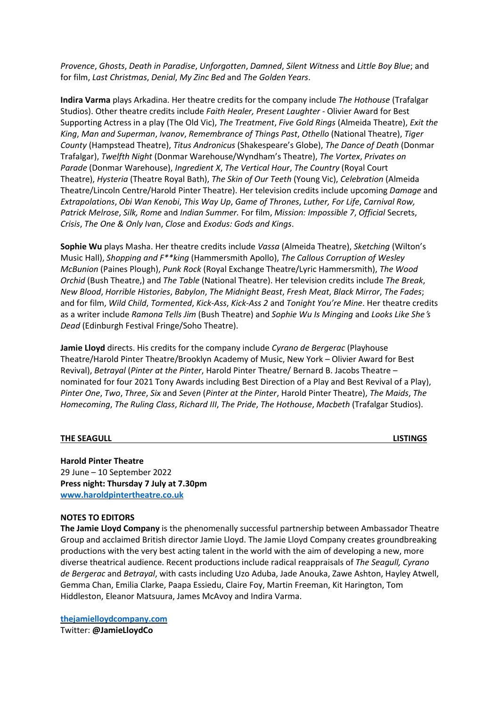*Provence*, *Ghosts*, *Death in Paradise*, *Unforgotten*, *Damned*, *Silent Witness* and *Little Boy Blue*; and for film, *Last Christmas*, *Denial*, *My Zinc Bed* and *The Golden Years*.

**Indira Varma** plays Arkadina. Her theatre credits for the company include *The Hothouse* (Trafalgar Studios). Other theatre credits include *Faith Healer, Present Laughter* - Olivier Award for Best Supporting Actress in a play (The Old Vic), *The Treatment*, *Five Gold Rings* (Almeida Theatre), *Exit the King*, *Man and Superman*, *Ivanov*, *Remembrance of Things Past*, *Othello* (National Theatre), *Tiger County* (Hampstead Theatre), *Titus Andronicus* (Shakespeare's Globe), *The Dance of Death* (Donmar Trafalgar), *Twelfth Night* (Donmar Warehouse/Wyndham's Theatre), *The Vortex*, *Privates on Parade* (Donmar Warehouse), *Ingredient X*, *The Vertical Hour*, *The Country* (Royal Court Theatre), *Hysteria* (Theatre Royal Bath), *The Skin of Our Teeth* (Young Vic), *Celebration* (Almeida Theatre/Lincoln Centre/Harold Pinter Theatre). Her television credits include upcoming *Damage* and *Extrapolations*, *Obi Wan Kenobi*, *This Way Up*, *Game of Thrones*, *Luther, For Life*, *Carnival Row, Patrick Melrose*, *Silk, Rome* and *Indian Summer.* For film, *Mission: Impossible 7*, *Official* Secrets, *Crisis*, *The One & Only Iva*n, *Close* and *Exodus: Gods and Kings*.

**Sophie Wu** plays Masha. Her theatre credits include *Vassa* (Almeida Theatre), *Sketching* (Wilton's Music Hall), *Shopping and F\*\*king* (Hammersmith Apollo), *The Callous Corruption of Wesley McBunion* (Paines Plough), *Punk Rock* (Royal Exchange Theatre/Lyric Hammersmith), *The Wood Orchid* (Bush Theatre,) and *The Table* (National Theatre). Her television credits include *The Break*, *New Blood*, *Horrible Histories*, *Babylon*, *The Midnight Beast*, *Fresh Meat*, *Black Mirror*, *The Fades*; and for film, *Wild Child*, *Tormented*, *Kick-Ass*, *Kick-Ass 2* and *Tonight You're Mine*. Her theatre credits as a writer include *Ramona Tells Jim* (Bush Theatre) and *Sophie Wu Is Minging* and *Looks Like She*'*s Dead* (Edinburgh Festival Fringe/Soho Theatre).

**Jamie Lloyd** directs. His credits for the company include *Cyrano de Bergerac* (Playhouse Theatre/Harold Pinter Theatre/Brooklyn Academy of Music, New York – Olivier Award for Best Revival), *Betrayal* (*Pinter at the Pinter*, Harold Pinter Theatre/ Bernard B. Jacobs Theatre – nominated for four 2021 Tony Awards including Best Direction of a Play and Best Revival of a Play), *Pinter One*, *Two*, *Three*, *Six* and *Seven* (*Pinter at the Pinter*, Harold Pinter Theatre), *The Maids*, *The Homecoming*, *The Ruling Class*, *Richard III*, *The Pride*, *The Hothouse*, *Macbeth* (Trafalgar Studios).

#### **THE SEAGULL LISTINGS**

**Harold Pinter Theatre** 29 June – 10 September 2022 **Press night: Thursday 7 July at 7.30pm [www.haroldpintertheatre.co.uk](http://www.haroldpintertheatre.co.uk/)**

#### **NOTES TO EDITORS**

**The Jamie Lloyd Company** is the phenomenally successful partnership between Ambassador Theatre Group and acclaimed British director Jamie Lloyd. The Jamie Lloyd Company creates groundbreaking productions with the very best acting talent in the world with the aim of developing a new, more diverse theatrical audience. Recent productions include radical reappraisals of *The Seagull, Cyrano de Bergerac* and *Betrayal*, with casts including Uzo Aduba, Jade Anouka, Zawe Ashton, Hayley Atwell, Gemma Chan, Emilia Clarke, Paapa Essiedu, Claire Foy, Martin Freeman, Kit Harington, Tom Hiddleston, Eleanor Matsuura, James McAvoy and Indira Varma.

**[thejamielloydcompany.com](http://thejamielloydcompany.com/)** Twitter: **@JamieLloydCo**